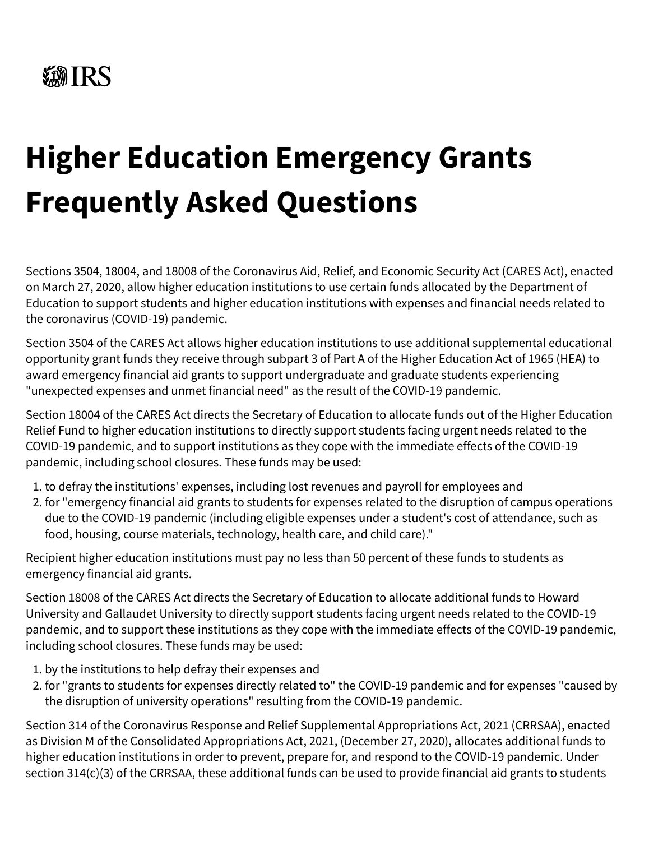## **Higher Education Emergency Grants Frequently Asked Questions**

Sections 3504, 18004, and 18008 of the Coronavirus Aid, Relief, and Economic Security Act (CARES Act), enacted on March 27, 2020, allow higher education institutions to use certain funds allocated by the Department of Education to support students and higher education institutions with expenses and financial needs related to the coronavirus (COVID-19) pandemic.

Section 3504 of the CARES Act allows higher education institutions to use additional supplemental educational opportunity grant funds they receive through subpart 3 of Part A of the Higher Education Act of 1965 (HEA) to award emergency financial aid grants to support undergraduate and graduate students experiencing "unexpected expenses and unmet financial need" as the result of the COVID-19 pandemic.

Section 18004 of the CARES Act directs the Secretary of Education to allocate funds out of the Higher Education Relief Fund to higher education institutions to directly support students facing urgent needs related to the COVID-19 pandemic, and to support institutions as they cope with the immediate effects of the COVID-19 pandemic, including school closures. These funds may be used:

- 1. to defray the institutions' expenses, including lost revenues and payroll for employees and
- 2. for "emergency financial aid grants to students for expenses related to the disruption of campus operations due to the COVID-19 pandemic (including eligible expenses under a student's cost of attendance, such as food, housing, course materials, technology, health care, and child care)."

Recipient higher education institutions must pay no less than 50 percent of these funds to students as emergency financial aid grants.

Section 18008 of the CARES Act directs the Secretary of Education to allocate additional funds to Howard University and Gallaudet University to directly support students facing urgent needs related to the COVID-19 pandemic, and to support these institutions as they cope with the immediate effects of the COVID-19 pandemic, including school closures. These funds may be used:

- 1. by the institutions to help defray their expenses and
- 2. for "grants to students for expenses directly related to" the COVID-19 pandemic and for expenses "caused by the disruption of university operations" resulting from the COVID-19 pandemic.

Section 314 of the Coronavirus Response and Relief Supplemental Appropriations Act, 2021 (CRRSAA), enacted as Division M of the Consolidated Appropriations Act, 2021, (December 27, 2020), allocates additional funds to higher education institutions in order to prevent, prepare for, and respond to the COVID-19 pandemic. Under section 314(c)(3) of the CRRSAA, these additional funds can be used to provide financial aid grants to students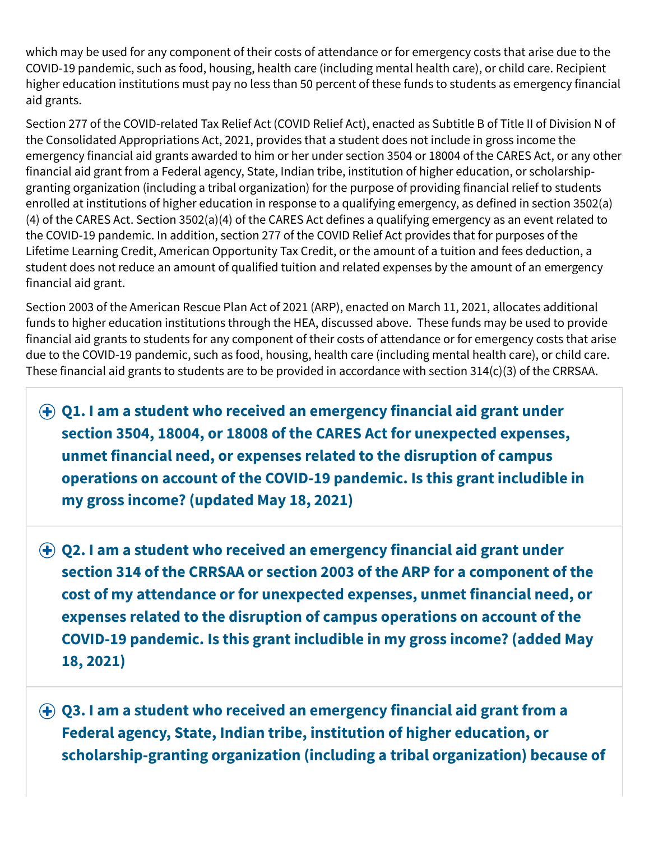which may be used for any component of their costs of attendance or for emergency costs that arise due to the COVID-19 pandemic, such as food, housing, health care (including mental health care), or child care. Recipient higher education institutions must pay no less than 50 percent of these funds to students as emergency financial aid grants.

Section 277 of the COVID-related Tax Relief Act (COVID Relief Act), enacted as Subtitle B of Title II of Division N of the Consolidated Appropriations Act, 2021, provides that a student does not include in gross income the emergency financial aid grants awarded to him or her under section 3504 or 18004 of the CARES Act, or any other financial aid grant from a Federal agency, State, Indian tribe, institution of higher education, or scholarshipgranting organization (including a tribal organization) for the purpose of providing financial relief to students enrolled at institutions of higher education in response to a qualifying emergency, as defined in section 3502(a) (4) of the CARES Act. Section 3502(a)(4) of the CARES Act defines a qualifying emergency as an event related to the COVID-19 pandemic. In addition, section 277 of the COVID Relief Act provides that for purposes of the Lifetime Learning Credit, American Opportunity Tax Credit, or the amount of a tuition and fees deduction, a student does not reduce an amount of qualified tuition and related expenses by the amount of an emergency financial aid grant.

Section 2003 of the American Rescue Plan Act of 2021 (ARP), enacted on March 11, 2021, allocates additional funds to higher education institutions through the HEA, discussed above. These funds may be used to provide financial aid grants to students for any component of their costs of attendance or for emergency costs that arise due to the COVID-19 pandemic, such as food, housing, health care (including mental health care), or child care. These financial aid grants to students are to be provided in accordance with section 314(c)(3) of the CRRSAA.

**Q1. I am a student who received an emergency financial aid grant under section 3504, 18004, or 18008 of the CARES Act for unexpected expenses, unmet financial need, or expenses related to the disruption of campus operations on account of the COVID-19 pandemic. Is this grant includible in my gross income? (updated May 18, 2021)**

**Q2. I am a student who received an emergency financial aid grant under section 314 of the CRRSAA or section 2003 of the ARP for a component of the cost of my attendance or for unexpected expenses, unmet financial need, or expenses related to the disruption of campus operations on account of the COVID-19 pandemic. Is this grant includible in my gross income? (added May 18, 2021)**

**Q3. I am a student who received an emergency financial aid grant from a Federal agency, State, Indian tribe, institution of higher education, or scholarship-granting organization (including a tribal organization) because of**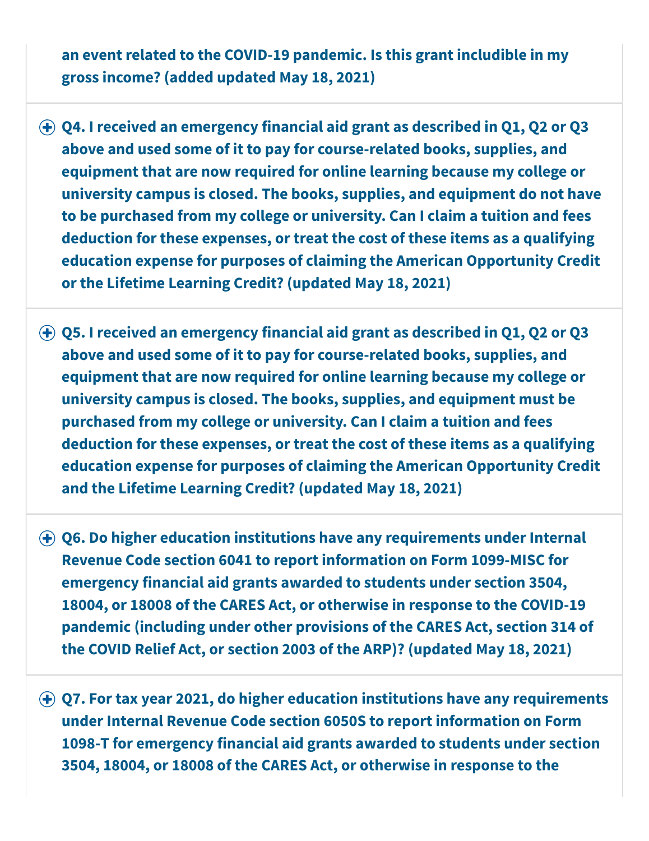**an event related to the COVID-19 pandemic. Is this grant includible in my gross income? (added updated May 18, 2021)**

- **Q4. I received an emergency financial aid grant as described in Q1, Q2 or Q3 above and used some of it to pay for course-related books, supplies, and equipment that are now required for online learning because my college or university campus is closed. The books, supplies, and equipment do not have to be purchased from my college or university. Can I claim a tuition and fees deduction for these expenses, or treat the cost of these items as a qualifying education expense for purposes of claiming the American Opportunity Credit or the Lifetime Learning Credit? (updated May 18, 2021)**
- **Q5. I received an emergency financial aid grant as described in Q1, Q2 or Q3 above and used some of it to pay for course-related books, supplies, and equipment that are now required for online learning because my college or university campus is closed. The books, supplies, and equipment must be purchased from my college or university. Can I claim a tuition and fees deduction for these expenses, or treat the cost of these items as a qualifying education expense for purposes of claiming the American Opportunity Credit and the Lifetime Learning Credit? (updated May 18, 2021)**
- **Q6. Do higher education institutions have any requirements under Internal Revenue Code section 6041 to report information on Form 1099-MISC for emergency financial aid grants awarded to students under section 3504, 18004, or 18008 of the CARES Act, or otherwise in response to the COVID-19 pandemic (including under other provisions of the CARES Act, section 314 of the COVID Relief Act, or section 2003 of the ARP)? (updated May 18, 2021)**
- **Q7. For tax year 2021, do higher education institutions have any requirements under Internal Revenue Code section 6050S to report information on Form 1098-T for emergency financial aid grants awarded to students under section 3504, 18004, or 18008 of the CARES Act, or otherwise in response to the**